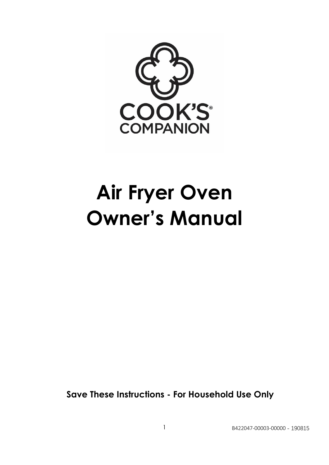

# **Air Fryer Oven Owner's Manual**

**Save These Instructions - For Household Use Only**

1 B422047-00003-00000 - 190815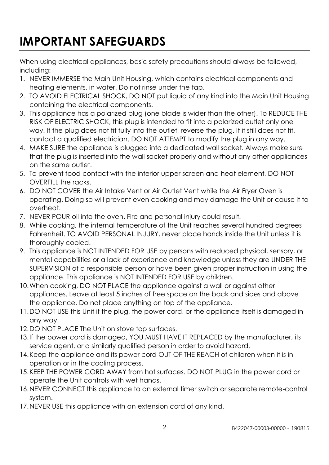## **IMPORTANT SAFEGUARDS**

When using electrical appliances, basic safety precautions should always be followed, including:

- 1. NEVER IMMERSE the Main Unit Housing, which contains electrical components and heating elements, in water. Do not rinse under the tap.
- 2. TO AVOID ELECTRICAL SHOCK, DO NOT put liquid of any kind into the Main Unit Housing containing the electrical components.
- 3. This appliance has a polarized plug (one blade is wider than the other). To REDUCE THE RISK OF ELECTRIC SHOCK, this plug is intended to fit into a polarized outlet only one way. If the plug does not fit fully into the outlet, reverse the plug. If it still does not fit, contact a qualified electrician. DO NOT ATTEMPT to modify the plug in any way.
- 4. MAKE SURE the appliance is plugged into a dedicated wall socket. Always make sure that the plug is inserted into the wall socket properly and without any other appliances on the same outlet.
- 5. To prevent food contact with the interior upper screen and heat element, DO NOT OVERFILL the racks.
- 6. DO NOT COVER the Air Intake Vent or Air Outlet Vent while the Air Fryer Oven is operating. Doing so will prevent even cooking and may damage the Unit or cause it to overheat.
- 7. NEVER POUR oil into the oven. Fire and personal injury could result.
- 8. While cooking, the internal temperature of the Unit reaches several hundred degrees Fahrenheit. TO AVOID PERSONAL INJURY, never place hands inside the Unit unless it is thoroughly cooled.
- 9. This appliance is NOT INTENDED FOR USE by persons with reduced physical, sensory, or mental capabilities or a lack of experience and knowledge unless they are UNDER THE SUPERVISION of a responsible person or have been given proper instruction in using the appliance. This appliance is NOT INTENDED FOR USE by children.
- 10.When cooking, DO NOT PLACE the appliance against a wall or against other appliances. Leave at least 5 inches of free space on the back and sides and above the appliance. Do not place anything on top of the appliance.
- 11.DO NOT USE this Unit if the plug, the power cord, or the appliance itself is damaged in any way.
- 12.DO NOT PLACE The Unit on stove top surfaces.
- 13.If the power cord is damaged, YOU MUST HAVE IT REPLACED by the manufacturer, its service agent, or a similarly qualified person in order to avoid hazard.
- 14.Keep the appliance and its power cord OUT OF THE REACH of children when it is in operation or in the cooling process.
- 15.KEEP THE POWER CORD AWAY from hot surfaces. DO NOT PLUG in the power cord or operate the Unit controls with wet hands.
- 16.NEVER CONNECT this appliance to an external timer switch or separate remote-control system.
- 17.NEVER USE this appliance with an extension cord of any kind.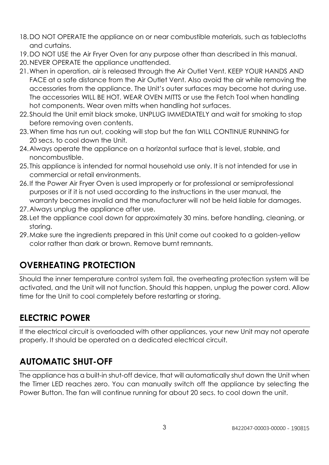- 18.DO NOT OPERATE the appliance on or near combustible materials, such as tablecloths and curtains.
- 19.DO NOT USE the Air Fryer Oven for any purpose other than described in this manual.
- 20.NEVER OPERATE the appliance unattended.
- 21.When in operation, air is released through the Air Outlet Vent. KEEP YOUR HANDS AND FACE at a safe distance from the Air Outlet Vent. Also avoid the air while removing the accessories from the appliance. The Unit's outer surfaces may become hot during use. The accessories WILL BE HOT. WEAR OVEN MITTS or use the Fetch Tool when handling hot components. Wear oven mitts when handling hot surfaces.
- 22.Should the Unit emit black smoke, UNPLUG IMMEDIATELY and wait for smoking to stop before removing oven contents.
- 23.When time has run out, cooking will stop but the fan WILL CONTINUE RUNNING for 20 secs. to cool down the Unit.
- 24.Always operate the appliance on a horizontal surface that is level, stable, and noncombustible.
- 25. This appliance is intended for normal household use only. It is not intended for use in commercial or retail environments.
- 26.If the Power Air Fryer Oven is used improperly or for professional or semiprofessional purposes or if it is not used according to the instructions in the user manual, the warranty becomes invalid and the manufacturer will not be held liable for damages.
- 27.Always unplug the appliance after use.
- 28.Let the appliance cool down for approximately 30 mins. before handling, cleaning, or storing.
- 29.Make sure the ingredients prepared in this Unit come out cooked to a golden-yellow color rather than dark or brown. Remove burnt remnants.

### **OVERHEATING PROTECTION**

Should the inner temperature control system fail, the overheating protection system will be activated, and the Unit will not function. Should this happen, unplug the power cord. Allow time for the Unit to cool completely before restarting or storing.

### **ELECTRIC POWER**

If the electrical circuit is overloaded with other appliances, your new Unit may not operate properly. It should be operated on a dedicated electrical circuit.

### **AUTOMATIC SHUT-OFF**

The appliance has a built-in shut-off device, that will automatically shut down the Unit when the Timer LED reaches zero. You can manually switch off the appliance by selecting the Power Button. The fan will continue running for about 20 secs. to cool down the unit.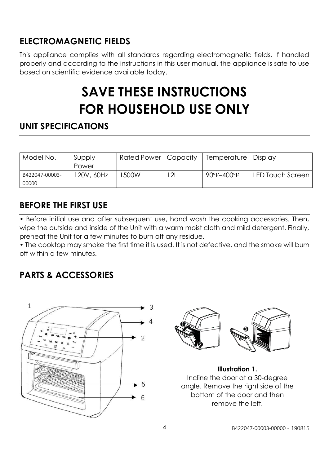### **ELECTROMAGNETIC FIELDS**

This appliance complies with all standards regarding electromagnetic fields. If handled properly and according to the instructions in this user manual, the appliance is safe to use based on scientific evidence available today.

# **SAVE THESE INSTRUCTIONS FOR HOUSEHOLD USE ONLY**

### **UNIT SPECIFICATIONS**

| Model No.      | Supply     | Rated Power   Capacity |     | Temperature   Display           |                  |
|----------------|------------|------------------------|-----|---------------------------------|------------------|
|                | Power      |                        |     |                                 |                  |
| B422047-00003- | 120V, 60Hz | 500W                   | 12L | $90^{\circ}$ F-400 $^{\circ}$ F | LED Touch Screen |
| 00000          |            |                        |     |                                 |                  |

### **BEFORE THE FIRST USE**

• Before initial use and after subsequent use, hand wash the cooking accessories. Then, wipe the outside and inside of the Unit with a warm moist cloth and mild detergent. Finally, preheat the Unit for a few minutes to burn off any residue.

• The cooktop may smoke the first time it is used. It is not defective, and the smoke will burn off within a few minutes.

### **PARTS & ACCESSORIES**





**Illustration 1.** Incline the door at a 30-degree angle. Remove the right side of the bottom of the door and then remove the left.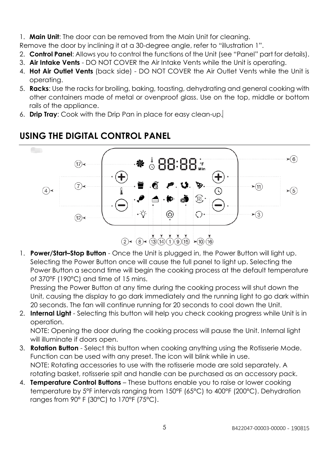- 1. **Main Unit**: The door can be removed from the Main Unit for cleaning.
- Remove the door by inclining it at a 30-degree angle, refer to "illustration 1".
- 2. **Control Panel**: Allows you to control the functions of the Unit (see "Panel" part for details).
- 3. **Air Intake Vents** DO NOT COVER the Air Intake Vents while the Unit is operating.
- 4. **Hot Air Outlet Vents** (back side) DO NOT COVER the Air Outlet Vents while the Unit is operating.
- 5. **Racks**: Use the racks for broiling, baking, toasting, dehydrating and general cooking with other containers made of metal or ovenproof glass. Use on the top, middle or bottom rails of the appliance.
- 6. **Drip Tray**: Cook with the Drip Pan in place for easy clean-up.



### **USING THE DIGITAL CONTROL PANEL**

1. **Power/Start–Stop Button** - Once the Unit is plugged in, the Power Button will light up. Selecting the Power Button once will cause the full panel to light up. Selecting the Power Button a second time will begin the cooking process at the default temperature of 370°F (190°C) and time of 15 mins.

Pressing the Power Button at any time during the cooking process will shut down the Unit, causing the display to go dark immediately and the running light to go dark within 20 seconds. The fan will continue running for 20 seconds to cool down the Unit.

2. **Internal Light** - Selecting this button will help you check cooking progress while Unit is in operation.

NOTE: Opening the door during the cooking process will pause the Unit. Internal light will illuminate if doors open.

- 3. **Rotation Button** Select this button when cooking anything using the Rotisserie Mode. Function can be used with any preset. The icon will blink while in use. NOTE: Rotating accessories to use with the rotisserie mode are sold separately. A rotating basket, rotisserie spit and handle can be purchased as an accessory pack.
- 4. **Temperature Control Buttons** These buttons enable you to raise or lower cooking temperature by 5°F intervals ranging from 150°F (65°C) to 400°F (200°C). Dehydration ranges from 90° F (30°C) to 170°F (75°C).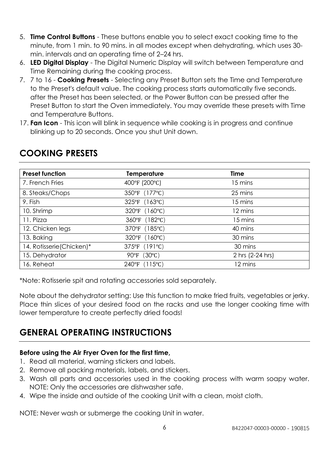- 5. **Time Control Buttons** These buttons enable you to select exact cooking time to the minute, from 1 min. to 90 mins. in all modes except when dehydrating, which uses 30 min. intervals and an operating time of 2–24 hrs.
- 6. **LED Digital Display** The Digital Numeric Display will switch between Temperature and Time Remaining during the cooking process.
- 7. 7 to 16 **Cooking Presets** Selecting any Preset Button sets the Time and Temperature to the Preset's default value. The cooking process starts automatically five seconds. after the Preset has been selected, or the Power Button can be pressed after the Preset Button to start the Oven immediately. You may override these presets with Time and Temperature Buttons.
- 17. **Fan Icon** This icon will blink in sequence while cooking is in progress and continue blinking up to 20 seconds. Once you shut Unit down.

| <b>Preset function</b>    | <b>Temperature</b> | <b>Time</b>      |
|---------------------------|--------------------|------------------|
| 7. French Fries           | 400°F (200°C)      | 15 mins          |
| 8. Steaks/Chops           | 350°F (177°C)      | 25 mins          |
| 9. Fish                   | 325°F (163°C)      | 15 mins          |
| 10. Shrimp                | 320°F (160°C)      | 12 mins          |
| 11. Pizza                 | 360°F (182°C)      | 15 mins          |
| 12. Chicken legs          | 370°F (185°C)      | 40 mins          |
| 13. Baking                | 320°F (160°C)      | 30 mins          |
| 14. Rotisserie (Chicken)* | 375°F (191°C)      | 30 mins          |
| 15. Dehydrator            | 90°F (30°C)        | 2 hrs (2-24 hrs) |
| 16. Reheat                | 240°F (115°C)      | 12 mins          |

### **COOKING PRESETS**

\*Note: Rotisserie spit and rotating accessories sold separately.

Note about the dehydrator setting: Use this function to make fried fruits, vegetables or jerky. Place thin slices of your desired food on the racks and use the longer cooking time with lower temperature to create perfectly dried foods!

### **GENERAL OPERATING INSTRUCTIONS**

### **Before using the Air Fryer Oven for the first time,**

- 1. Read all material, warning stickers and labels.
- 2. Remove all packing materials, labels, and stickers.
- 3. Wash all parts and accessories used in the cooking process with warm soapy water. NOTE: Only the accessories are dishwasher safe.
- 4. Wipe the inside and outside of the cooking Unit with a clean, moist cloth.

NOTE: Never wash or submerge the cooking Unit in water.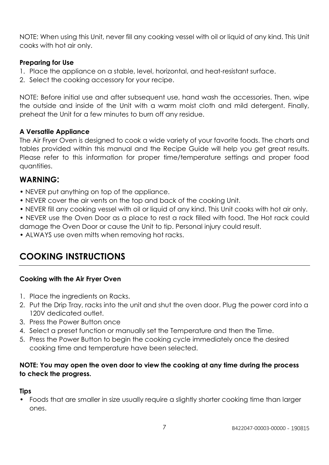NOTE: When using this Unit, never fill any cooking vessel with oil or liquid of any kind. This Unit cooks with hot air only.

#### **Preparing for Use**

- 1. Place the appliance on a stable, level, horizontal, and heat-resistant surface.
- 2. Select the cooking accessory for your recipe.

NOTE: Before initial use and after subsequent use, hand wash the accessories. Then, wipe the outside and inside of the Unit with a warm moist cloth and mild detergent. Finally, preheat the Unit for a few minutes to burn off any residue.

#### **A Versatile Appliance**

The Air Fryer Oven is designed to cook a wide variety of your favorite foods. The charts and tables provided within this manual and the Recipe Guide will help you get great results. Please refer to this information for proper time/temperature settings and proper food quantities.

### **WARNING:**

- NEVER put anything on top of the appliance.
- NEVER cover the air vents on the top and back of the cooking Unit.
- NEVER fill any cooking vessel with oil or liquid of any kind. This Unit cooks with hot air only.
- NEVER use the Oven Door as a place to rest a rack filled with food. The Hot rack could damage the Oven Door or cause the Unit to tip. Personal injury could result.
- ALWAYS use oven mitts when removing hot racks.

### **COOKING INSTRUCTIONS**

### **Cooking with the Air Fryer Oven**

- 1. Place the ingredients on Racks.
- 2. Put the Drip Tray, racks into the unit and shut the oven door. Plug the power cord into a 120V dedicated outlet.
- 3. Press the Power Button once
- 4. Select a preset function or manually set the Temperature and then the Time.
- 5. Press the Power Button to begin the cooking cycle immediately once the desired cooking time and temperature have been selected.

#### **NOTE: You may open the oven door to view the cooking at any time during the process to check the progress.**

#### **Tips**

• Foods that are smaller in size usually require a slightly shorter cooking time than larger ones.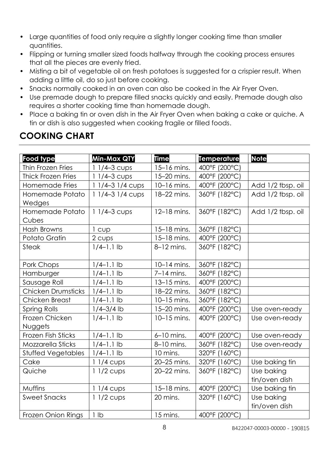- Large quantities of food only require a slightly longer cooking time than smaller quantities.
- Flipping or turning smaller sized foods halfway through the cooking process ensures that all the pieces are evenly fried.
- Misting a bit of vegetable oil on fresh potatoes is suggested for a crispier result. When adding a little oil, do so just before cooking.
- Snacks normally cooked in an oven can also be cooked in the Air Fryer Oven.
- Use premade dough to prepare filled snacks quickly and easily. Premade dough also requires a shorter cooking time than homemade dough.
- Place a baking tin or oven dish in the Air Fryer Oven when baking a cake or quiche. A tin or dish is also suggested when cooking fragile or filled foods.

| <b>Food type</b>          | Min-Max QTY      | <b>Time</b>   | <b>Temperature</b> | <b>Note</b>       |
|---------------------------|------------------|---------------|--------------------|-------------------|
| Thin Frozen Fries         | $11/4 - 3$ cups  | 15-16 mins.   | 400°F (200°C)      |                   |
| <b>Thick Frozen Fries</b> | $11/4-3$ cups    | 15-20 mins.   | 400°F (200°C)      |                   |
| Homemade Fries            | 1 1/4-3 1/4 cups | 10-16 mins.   | 400°F (200°C)      | Add 1/2 tbsp. oil |
| Homemade Potato           | $11/4-31/4$ cups | 18-22 mins.   | 360°F (182°C)      | Add 1/2 tbsp. oil |
| Wedges                    |                  |               |                    |                   |
| Homemade Potato           | $11/4 - 3$ cups  | 12-18 mins.   | 360°F (182°C)      | Add 1/2 tbsp. oil |
| Cubes                     |                  |               |                    |                   |
| Hash Browns               | 1 cup            | 15-18 mins.   | 360°F (182°C)      |                   |
| Potato Gratin             | 2 cups           | 15-18 mins.   | 400°F (200°C)      |                   |
| <b>Steak</b>              | $1/4-1.1$ lb     | 8-12 mins.    | 360°F (182°C)      |                   |
|                           |                  |               |                    |                   |
| Pork Chops                | $1/4 - 1.1$ lb   | $10-14$ mins. | 360°F (182°C)      |                   |
| Hamburger                 | $1/4 - 1.1$ lb   | $7-14$ mins.  | 360°F (182°C)      |                   |
| Sausage Roll              | $1/4 - 1.1$ lb   | 13-15 mins.   | 400°F (200°C)      |                   |
| <b>Chicken Drumsticks</b> | $1/4 - 1.1$ lb   | 18-22 mins.   | 360°F (182°C)      |                   |
| Chicken Breast            | $1/4 - 1.1$ lb   | 10-15 mins.   | 360°F (182°C)      |                   |
| <b>Spring Rolls</b>       | $1/4 - 3/4$ lb   | 15-20 mins.   | 400°F (200°C)      | Use oven-ready    |
| Frozen Chicken            | $1/4 - 1.1$ lb   | $10-15$ mins. | 400°F (200°C)      | Use oven-ready    |
| Nuggets                   |                  |               |                    |                   |
| <b>Frozen Fish Sticks</b> | $1/4-1.1$ lb     | $6-10$ mins.  | 400°F (200°C)      | Use oven-ready    |
| Mozzarella Sticks         | $1/4-1.1$ lb     | 8-10 mins.    | 360°F (182°C)      | Use oven-ready    |
| <b>Stuffed Vegetables</b> | $1/4 - 1.1$ lb   | 10 mins.      | 320°F (160°C)      |                   |
| Cake                      | $11/4$ cups      | 20-25 mins.   | 320°F (160°C)      | Use baking tin    |
| Quiche                    | $11/2$ cups      | 20-22 mins.   | 360°F (182°C)      | Use baking        |
|                           |                  |               |                    | tin/oven dish     |
| <b>Muffins</b>            | $11/4$ cups      | 15-18 mins.   | 400°F (200°C)      | Use baking tin    |
| <b>Sweet Snacks</b>       | $11/2$ cups      | 20 mins.      | 320°F (160°C)      | Use baking        |
|                           |                  |               |                    | tin/oven dish     |
| <b>Frozen Onion Rings</b> | 1 lb             | 15 mins.      | 400°F (200°C)      |                   |

### **COOKING CHART**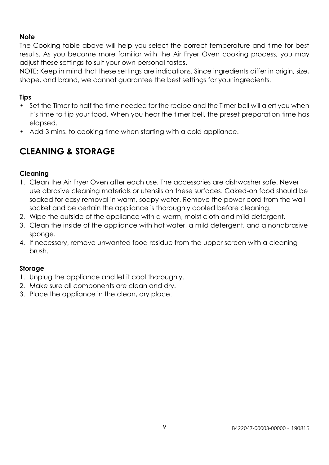#### **Note**

The Cooking table above will help you select the correct temperature and time for best results. As you become more familiar with the Air Fryer Oven cooking process, you may adjust these settings to suit your own personal tastes.

NOTE: Keep in mind that these settings are indications. Since ingredients differ in origin, size, shape, and brand, we cannot guarantee the best settings for your ingredients.

#### **Tips**

- Set the Timer to half the time needed for the recipe and the Timer bell will alert you when it's time to flip your food. When you hear the timer bell, the preset preparation time has elapsed.
- Add 3 mins. to cooking time when starting with a cold appliance.

### **CLEANING & STORAGE**

#### **Cleaning**

- 1. Clean the Air Fryer Oven after each use. The accessories are dishwasher safe. Never use abrasive cleaning materials or utensils on these surfaces. Caked-on food should be soaked for easy removal in warm, soapy water. Remove the power cord from the wall socket and be certain the appliance is thoroughly cooled before cleaning.
- 2. Wipe the outside of the appliance with a warm, moist cloth and mild detergent.
- 3. Clean the inside of the appliance with hot water, a mild detergent, and a nonabrasive sponge.
- 4. If necessary, remove unwanted food residue from the upper screen with a cleaning brush.

#### **Storage**

- 1. Unplug the appliance and let it cool thoroughly.
- 2. Make sure all components are clean and dry.
- 3. Place the appliance in the clean, dry place.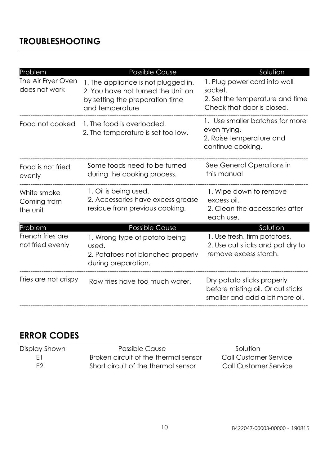### **TROUBLESHOOTING**

| Problem                                | <b>Possible Cause</b>                                                                                                           | Solution                                                                                                 |
|----------------------------------------|---------------------------------------------------------------------------------------------------------------------------------|----------------------------------------------------------------------------------------------------------|
| The Air Fryer Oven<br>does not work    | 1. The appliance is not plugged in.<br>2. You have not turned the Unit on<br>by setting the preparation time<br>and temperature | 1. Plug power cord into wall<br>socket.<br>2. Set the temperature and time<br>Check that door is closed. |
| Food not cooked                        | 1. The food is overloaded.<br>2. The temperature is set too low.                                                                | 1. Use smaller batches for more<br>even frying.<br>2. Raise temperature and<br>continue cooking.         |
| Food is not fried<br>evenly            | Some foods need to be turned<br>during the cooking process.                                                                     | See General Operations in<br>this manual                                                                 |
| White smoke<br>Coming from<br>the unit | 1. Oil is being used.<br>2. Accessories have excess grease<br>residue from previous cooking.                                    | 1. Wipe down to remove<br>excess oil.<br>2. Clean the accessories after<br>each use.                     |
| Problem                                | Possible Cause                                                                                                                  | Solution                                                                                                 |
| French fries are<br>not fried evenly   | 1. Wrong type of potato being<br>used.<br>2. Potatoes not blanched properly<br>during preparation.                              | 1. Use fresh, firm potatoes.<br>2. Use cut sticks and pat dry to<br>remove excess starch.                |
| Fries are not crispy                   | Raw fries have too much water.                                                                                                  | Dry potato sticks properly<br>before misting oil. Or cut sticks<br>smaller and add a bit more oil.       |

### **ERROR CODES**

| Display Shown | Possible Cause                       | Solution              |
|---------------|--------------------------------------|-----------------------|
| F1.           | Broken circuit of the thermal sensor | Call Customer Service |
| F2.           | Short circuit of the thermal sensor  | Call Customer Service |